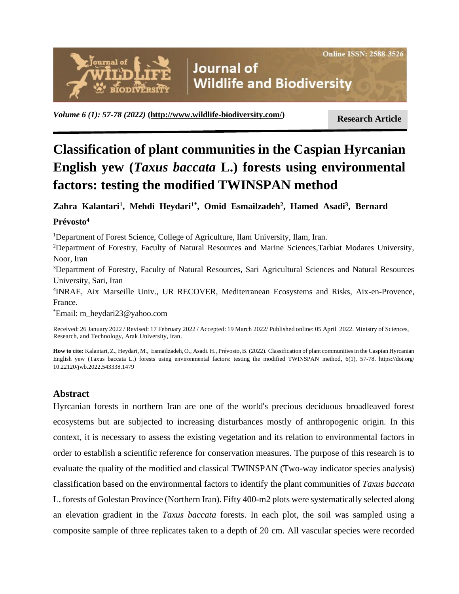# **Journal of Wildlife and Biodiversity**

**Research Article** *Volume 6 (1): 57-78 (2022)* **[\(http://www.wildlife-biodiversity.com/\)](http://www.wildlife-biodiversity.com/)**

ODIVERSI<sup>.</sup>

**Online ISSN: 2588-3526** 

# **Classification of plant communities in the Caspian Hyrcanian English yew (***Taxus baccata* **L.) forests using environmental factors: testing the modified TWINSPAN method**

**Zahra Kalantari<sup>1</sup> , Mehdi Heydari1\* , Omid Esmailzadeh<sup>2</sup> , Hamed Asadi<sup>3</sup> , Bernard Prévosto<sup>4</sup>**

<sup>1</sup>Department of Forest Science, College of Agriculture, Ilam University, Ilam, Iran.

<sup>2</sup>Department of Forestry, Faculty of Natural Resources and Marine Sciences,Tarbiat Modares University, Noor, Iran

<sup>3</sup>Department of Forestry, Faculty of Natural Resources, Sari Agricultural Sciences and Natural Resources University, Sari, Iran

4 INRAE, Aix Marseille Univ., UR RECOVER, Mediterranean Ecosystems and Risks, Aix-en-Provence, France.

\*Email: [m\\_heydari23@yahoo.com](mailto:m_heydari23@yahoo.com)

Received: 26 January 2022 / Revised: 17 February 2022 / Accepted: 19 March 2022/ Published online: 05 April 2022. Ministry of Sciences, Research, and Technology, Arak University, Iran.

**How to cite:** Kalantari, Z., Heydari, M., Esmailzadeh, O., Asadi. H., Prévosto, B. (2022). Classification of plant communities in the Caspian Hyrcanian English yew (Taxus baccata L.) forests using environmental factors: testing the modified TWINSPAN method, 6(1), 57-78. https://doi.org/ 10.22120/jwb.2022.543338.1479

# **Abstract**

Hyrcanian forests in northern Iran are one of the world's precious deciduous broadleaved forest ecosystems but are subjected to increasing disturbances mostly of anthropogenic origin. In this context, it is necessary to assess the existing vegetation and its relation to environmental factors in order to establish a scientific reference for conservation measures. The purpose of this research is to evaluate the quality of the modified and classical TWINSPAN (Two-way indicator species analysis) classification based on the environmental factors to identify the plant communities of *Taxus baccata* L. forests of Golestan Province (Northern Iran). Fifty 400-m2 plots were systematically selected along an elevation gradient in the *Taxus baccata* forests. In each plot, the soil was sampled using a composite sample of three replicates taken to a depth of 20 cm. All vascular species were recorded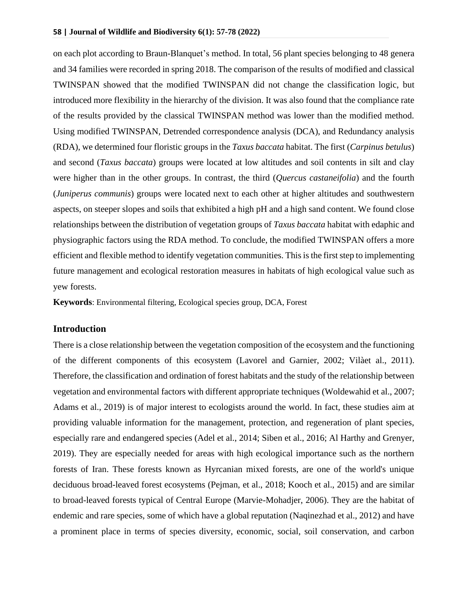on each plot according to Braun-Blanquet's method. In total, 56 plant species belonging to 48 genera and 34 families were recorded in spring 2018. The comparison of the results of modified and classical TWINSPAN showed that the modified TWINSPAN did not change the classification logic, but introduced more flexibility in the hierarchy of the division. It was also found that the compliance rate of the results provided by the classical TWINSPAN method was lower than the modified method. Using modified TWINSPAN, Detrended correspondence analysis (DCA), and Redundancy analysis (RDA), we determined four floristic groups in the *Taxus baccata* habitat. The first (*Carpinus betulus*) and second (*Taxus baccata*) groups were located at low altitudes and soil contents in silt and clay were higher than in the other groups. In contrast, the third (*Quercus castaneifolia*) and the fourth (*Juniperus communis*) groups were located next to each other at higher altitudes and southwestern aspects, on steeper slopes and soils that exhibited a high pH and a high sand content. We found close relationships between the distribution of vegetation groups of *Taxus baccata* habitat with edaphic and physiographic factors using the RDA method. To conclude, the modified TWINSPAN offers a more efficient and flexible method to identify vegetation communities. This is the first step to implementing future management and ecological restoration measures in habitats of high ecological value such as yew forests.

**Keywords**: [Environmental filtering,](https://www.mdpi.com/1999-4907/9/1/19) Ecological species group, DCA, Forest

#### **Introduction**

There is a close relationship between the vegetation composition of the ecosystem and the functioning of the different components of this ecosystem (Lavorel and Garnier, 2002; Vilàet al., 2011). Therefore, the classification and ordination of forest habitats and the study of the relationship between vegetation and environmental factors with different appropriate techniques (Woldewahid et al., 2007; Adams et al., 2019) is of major interest to ecologists around the world. In fact, these studies aim at providing valuable information for the management, protection, and regeneration of plant species, especially rare and endangered species (Adel et al., 2014; Siben et al., 2016; Al Harthy and Grenyer, 2019). They are especially needed for areas with high ecological importance such as the northern forests of Iran. These forests known as Hyrcanian mixed forests, are one of the world's unique deciduous broad-leaved forest ecosystems (Pejman, et al., 2018; Kooch et al., 2015) and are similar to broad-leaved forests typical of Central Europe (Marvie-Mohadjer, 2006). They are the habitat of endemic and rare species, some of which have a global reputation (Naqinezhad et al., 2012) and have a prominent place in terms of species diversity, economic, social, soil conservation, and carbon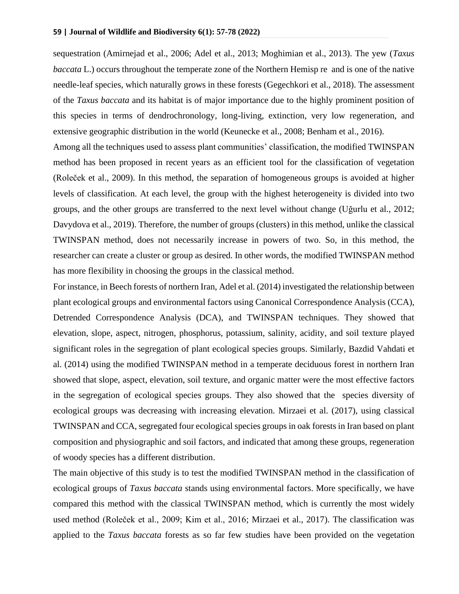sequestration (Amirnejad et al., 2006; Adel et al., 2013; Moghimian et al., 2013). The yew (*Taxus baccata* L.) occurs throughout the [temperate zone](https://www.sciencedirect.com/topics/agricultural-and-biological-sciences/temperate-zones) of the [Northern Hemisp](https://www.sciencedirect.com/topics/earth-and-planetary-sciences/northern-hemisphere) re and is one of the native needle-leaf species, which naturally grows in these forests (Gegechkori et al., 2018). The assessment of the *Taxus baccata* and its habitat is of major importance due to the highly prominent position of this species in terms of dendrochronology, long-living, extinction, very low regeneration, and extensive geographic distribution in the world (Keunecke et al., 2008; Benham et al., 2016).

Among all the techniques used to assess plant communities' classification, the modified TWINSPAN method has been proposed in recent years as an efficient tool for the classification of vegetation (Roleček et al., 2009). In this method, the separation of homogeneous groups is avoided at higher levels of classification. At each level, the group with the highest heterogeneity is divided into two groups, and the other groups are transferred to the next level without change (Uğurlu et al., 2012; Davydova et al., 2019). Therefore, the number of groups (clusters) in this method, unlike the classical TWINSPAN method, does not necessarily increase in powers of two. So, in this method, the researcher can create a cluster or group as desired. In other words, the modified TWINSPAN method has more flexibility in choosing the groups in the classical method.

For instance, in Beech forests of northern Iran, Adel et al. (2014) investigated the relationship between plant ecological groups and environmental factors using Canonical Correspondence Analysis (CCA), Detrended Correspondence Analysis (DCA), and TWINSPAN techniques. They showed that elevation, slope, aspect, nitrogen, phosphorus, potassium, salinity, acidity, and soil texture played significant roles in the segregation of plant ecological species groups. Similarly, Bazdid Vahdati et al. (2014) using the modified TWINSPAN method in a temperate deciduous forest in northern Iran showed that slope, aspect, elevation, soil texture, and organic matter were the most effective factors in the segregation of ecological species groups. They also showed that the species diversity of ecological groups was decreasing with increasing elevation. Mirzaei et al. (2017), using classical TWINSPAN and CCA, segregated four ecological species groups in oak forests in Iran based on plant composition and physiographic and soil factors, and indicated that among these groups, regeneration of woody species has a different distribution.

The main objective of this study is to test the modified TWINSPAN method in the classification of ecological groups of *Taxus baccata* stands using environmental factors. More specifically, we have compared this method with the classical TWINSPAN method, which is currently the most widely used method (Roleček et al., 2009; Kim et al., 2016; Mirzaei et al., 2017). The classification was applied to the *Taxus baccata* forests as so far few studies have been provided on the vegetation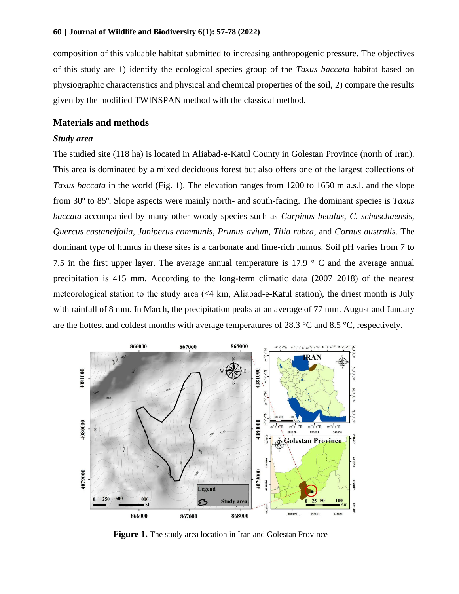composition of this valuable habitat submitted to increasing anthropogenic pressure. The objectives of this study are 1) identify the ecological species group of the *Taxus baccata* habitat based on physiographic characteristics and physical and chemical properties of the soil, 2) compare the results given by the modified TWINSPAN method with the classical method.

#### **Materials and methods**

#### *Study area*

The studied site (118 ha) is located in Aliabad-e-Katul County in Golestan Province (north of Iran). This area is dominated by a mixed deciduous forest but also offers one of the largest collections of *Taxus baccata* in the world (Fig. 1). The elevation ranges from 1200 to 1650 m a.s.l. and the slope from 30º to 85º. Slope aspects were mainly north- and south-facing. The dominant species is *Taxus baccata* accompanied by many other woody species such as *Carpinus betulus*, *C. schuschaensis, Quercus castaneifolia*, *Juniperus communis*, *Prunus avium, Tilia rubra*, and *Cornus australis.* The dominant type of humus in these sites is a carbonate and lime-rich humus. Soil pH varies from 7 to 7.5 in the first upper layer. The average annual temperature is 17.9 ° C and the average annual precipitation is 415 mm. According to the long-term climatic data (2007–2018) of the nearest meteorological station to the study area  $(\leq 4 \text{ km}, \text{ Aliabad-e-Katul station})$ , the driest month is July with rainfall of 8 mm. In March, the precipitation peaks at an average of 77 mm. August and January are the hottest and coldest months with average temperatures of 28.3 °C and 8.5 °C, respectively.



**Figure 1.** The study area location in Iran and Golestan Province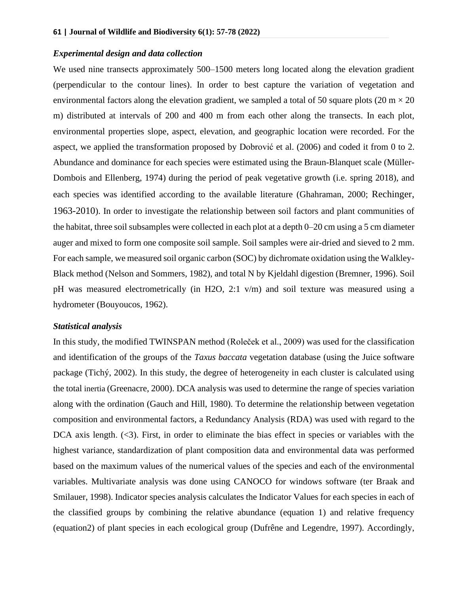#### *Experimental design and data collection*

We used nine transects approximately 500–1500 meters long located along the elevation gradient (perpendicular to the contour lines). In order to best capture the variation of vegetation and environmental factors along the elevation gradient, we sampled a total of 50 square plots (20 m  $\times$  20 m) distributed at intervals of 200 and 400 m from each other along the transects. In each plot, environmental properties slope, aspect, elevation, and geographic location were recorded. For the aspect, we applied the transformation proposed by Dobrović et al. (2006) and coded it from 0 to 2. Abundance and dominance for each species were estimated using the Braun-Blanquet scale (Müller-Dombois and Ellenberg, 1974) during the period of peak vegetative growth (i.e. spring 2018), and each species was identified according to the available literature (Ghahraman, 2000; Rechinger, 1963-2010). In order to investigate the relationship between soil factors and plant communities of the habitat, three soil subsamples were collected in each plot at a depth 0–20 cm using a 5 cm diameter auger and mixed to form one composite soil sample. Soil samples were air-dried and sieved to 2 mm. For each sample, we measured soil organic carbon (SOC) by dichromate oxidation using the Walkley-Black method (Nelson and Sommers, 1982), and total N by Kjeldahl digestion (Bremner, 1996). Soil pH was measured electrometrically (in H2O, 2:1 v/m) and soil texture was measured using a hydrometer (Bouyoucos, 1962).

#### *Statistical analysis*

In this study, the modified TWINSPAN method (Roleček et al., 2009) was used for the classification and identification of the groups of the *Taxus baccata* vegetation database (using the Juice software package (Tichý, 2002). In this study, the degree of heterogeneity in each cluster is calculated using the total inertia (Greenacre, 2000). DCA analysis was used to determine the range of species variation along with the ordination (Gauch and Hill, 1980). To determine the relationship between vegetation composition and environmental factors, a Redundancy Analysis (RDA) was used with regard to the DCA axis length.  $(\leq)$ . First, in order to eliminate the bias effect in species or variables with the highest variance, standardization of plant composition data and environmental data was performed based on the maximum values of the numerical values of the species and each of the environmental variables. Multivariate analysis was done using CANOCO for windows software (ter Braak and Smilauer, 1998). Indicator species analysis calculates the Indicator Values for each species in each of the classified groups by combining the relative abundance (equation 1) and relative frequency (equation2) of plant species in each ecological group (Dufrêne and Legendre, 1997). Accordingly,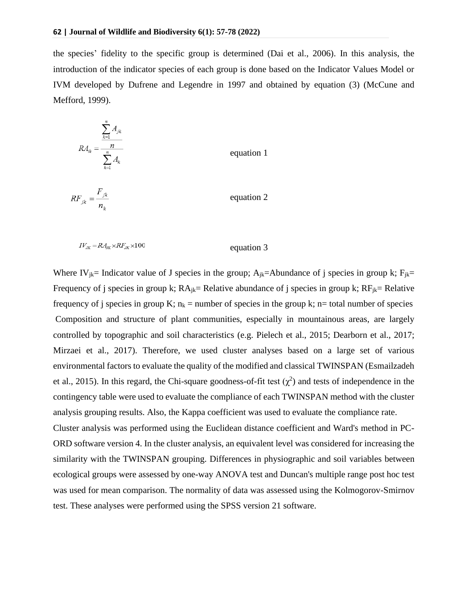the species' fidelity to the specific group is determined (Dai et al., 2006). In this analysis, the introduction of the indicator species of each group is done based on the Indicator Values Model or IVM developed by Dufrene and Legendre in 1997 and obtained by equation (3) (McCune and Mefford, 1999).

$$
R A_{ik} = \frac{\sum_{k=1}^{n} A_{jk}}{\sum_{k=1}^{n} A_k}
$$
 equation 1  

$$
R F_{jk} = \frac{F_{jk}}{n_k}
$$
 equation 2

$$
IV_{JK} = R A_{JK} \times R F_{JK} \times 100
$$
 *equation 3*

test. These analyses were performed using the SPSS version 21 software.

Where IV<sub>ik</sub>= Indicator value of J species in the group;  $A_{ik}$ =Abundance of j species in group k; F<sub>ik</sub>= Frequency of j species in group k;  $RA_{ik}=$  Relative abundance of j species in group k;  $RF_{ik}=$  Relative frequency of j species in group K;  $n_k$  = number of species in the group k; n= total number of species Composition and structure of plant communities, especially in mountainous areas, are largely controlled by topographic and soil characteristics (e.g. Pielech et al., 2015; Dearborn et al., 2017; Mirzaei et al., 2017). Therefore, we used cluster analyses based on a large set of various environmental factors to evaluate the quality of the modified and classical TWINSPAN (Esmailzadeh et al., 2015). In this regard, the Chi-square goodness-of-fit test  $(\chi^2)$  and tests of independence in the contingency table were used to evaluate the compliance of each TWINSPAN method with the cluster analysis grouping results. Also, the Kappa coefficient was used to evaluate the compliance rate. Cluster analysis was performed using the Euclidean distance coefficient and Ward's method in PC-ORD software version 4. In the cluster analysis, an equivalent level was considered for increasing the similarity with the TWINSPAN grouping. Differences in physiographic and soil variables between ecological groups were assessed by one-way ANOVA test and Duncan's multiple range post hoc test was used for mean comparison. The normality of data was assessed using the Kolmogorov-Smirnov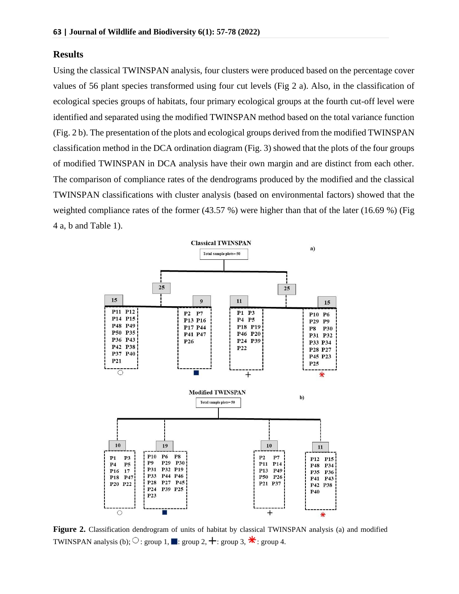#### **Results**

Using the classical TWINSPAN analysis, four clusters were produced based on the percentage cover values of 56 plant species transformed using four cut levels (Fig 2 a). Also, in the classification of ecological species groups of habitats, four primary ecological groups at the fourth cut-off level were identified and separated using the modified TWINSPAN method based on the total variance function (Fig. 2 b). The presentation of the plots and ecological groups derived from the modified TWINSPAN classification method in the DCA ordination diagram (Fig. 3) showed that the plots of the four groups of modified TWINSPAN in DCA analysis have their own margin and are distinct from each other. The comparison of compliance rates of the dendrograms produced by the modified and the classical TWINSPAN classifications with cluster analysis (based on environmental factors) showed that the weighted compliance rates of the former (43.57 %) were higher than that of the later (16.69 %) (Fig 4 a, b and Table 1).



**Figure 2.** Classification dendrogram of units of habitat by classical TWINSPAN analysis (a) and modified TWINSPAN analysis (b);  $\circ$  : group 1, : group 2,  $\pm$  : group 3,  $\ast$  : group 4.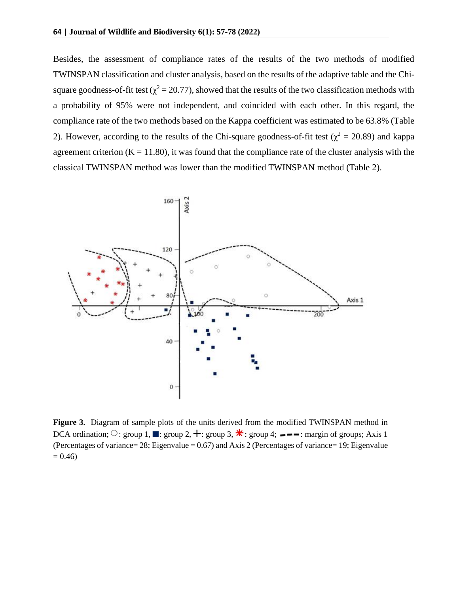Besides, the assessment of compliance rates of the results of the two methods of modified TWINSPAN classification and cluster analysis, based on the results of the adaptive table and the Chisquare goodness-of-fit test ( $\chi^2$  = 20.77), showed that the results of the two classification methods with a probability of 95% were not independent, and coincided with each other. In this regard, the compliance rate of the two methods based on the Kappa coefficient was estimated to be 63.8% (Table 2). However, according to the results of the Chi-square goodness-of-fit test ( $\chi^2 = 20.89$ ) and kappa agreement criterion  $(K = 11.80)$ , it was found that the compliance rate of the cluster analysis with the classical TWINSPAN method was lower than the modified TWINSPAN method (Table 2).



**Figure 3.** Diagram of sample plots of the units derived from the modified TWINSPAN method in DCA ordination;  $\circ$ : group 1, : group 2,  $\pm$ : group 3,  $\ast$ : group 4;  $\bullet$   $\bullet$  : margin of groups; Axis 1 (Percentages of variance= 28; Eigenvalue = 0.67) and Axis 2 (Percentages of variance= 19; Eigenvalue  $= 0.46$ )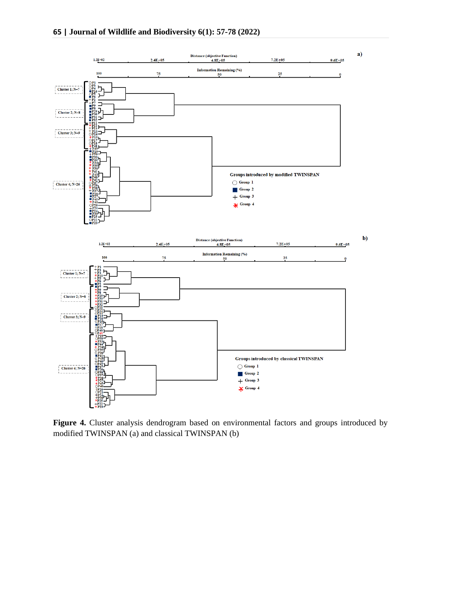

Figure 4. Cluster analysis dendrogram based on environmental factors and groups introduced by modified TWINSPAN (a) and classical TWINSPAN (b)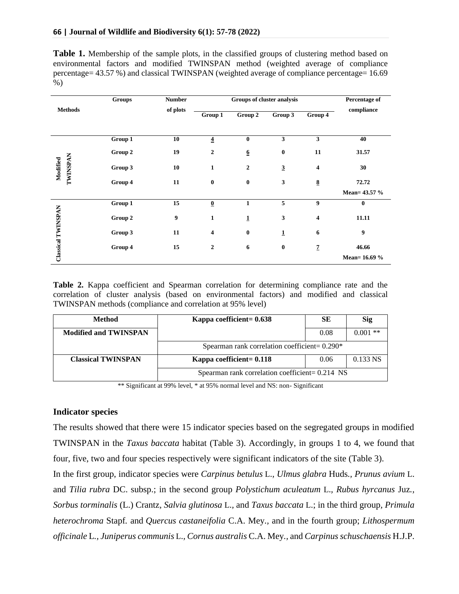**Table 1.** Membership of the sample plots, in the classified groups of clustering method based on environmental factors and modified TWINSPAN method (weighted average of compliance percentage= 43.57 %) and classical TWINSPAN (weighted average of compliance percentage= 16.69 %)

|                           | <b>Groups</b> | <b>Number</b> | Groups of cluster analysis |                  |                         |                          | Percentage of |
|---------------------------|---------------|---------------|----------------------------|------------------|-------------------------|--------------------------|---------------|
| <b>Methods</b>            |               | of plots      | Group 1                    | Group 2          | Group 3                 | Group 4                  | compliance    |
|                           | Group 1       | 10            | $\overline{4}$             | $\bf{0}$         | 3                       | 3                        | 40            |
|                           | Group 2       | 19            | $\mathbf{2}$               | $6 \overline{6}$ | $\bf{0}$                | 11                       | 31.57         |
| TWINSPAN<br>Modified      | Group 3       | 10            | $\mathbf{1}$               | $\boldsymbol{2}$ | $\overline{\mathbf{3}}$ | 4                        | 30            |
|                           | Group 4       | 11            | $\bf{0}$                   | $\bf{0}$         | 3                       | $\underline{\mathbf{8}}$ | 72.72         |
|                           |               |               |                            |                  |                         |                          | Mean= 43.57 % |
|                           | Group 1       | 15            | $\pmb{0}$                  | $\mathbf{1}$     | 5                       | $\boldsymbol{9}$         | $\bf{0}$      |
|                           | Group 2       | 9             | $\mathbf{1}$               | $\mathbf{1}$     | 3                       | $\overline{\mathbf{4}}$  | 11.11         |
| <b>Classical TWINSPAN</b> | Group 3       | 11            | 4                          | $\bf{0}$         | $\mathbf 1$             | 6                        | 9             |
|                           | Group 4       | 15            | $\boldsymbol{2}$           | 6                | $\bf{0}$                | $\overline{z}$           | 46.66         |
|                           |               |               |                            |                  |                         |                          | Mean=16.69 %  |

**Table 2.** Kappa coefficient and Spearman correlation for determining compliance rate and the correlation of cluster analysis (based on environmental factors) and modified and classical TWINSPAN methods (compliance and correlation at 95% level)

| Method                       | Kappa coefficient= $0.638$                        | SЕ   | <b>Sig</b> |  |  |  |
|------------------------------|---------------------------------------------------|------|------------|--|--|--|
| <b>Modified and TWINSPAN</b> |                                                   | 0.08 | $0.001$ ** |  |  |  |
|                              | Spearman rank correlation coefficient= $0.290*$   |      |            |  |  |  |
| <b>Classical TWINSPAN</b>    | Kappa coefficient= 0.118                          | 0.06 | $0.133$ NS |  |  |  |
|                              | Spearman rank correlation coefficient= $0.214$ NS |      |            |  |  |  |

\*\* Significant at 99% level, \* at 95% normal level and NS: non- Significant

#### **Indicator species**

The results showed that there were 15 indicator species based on the segregated groups in modified TWINSPAN in the *Taxus baccata* habitat (Table 3). Accordingly, in groups 1 to 4, we found that four, five, two and four species respectively were significant indicators of the site (Table 3).

In the first group, indicator species were *Carpinus betulus* L.*, Ulmus glabra* Huds*., Prunus avium* L. and *Tilia rubra* DC. subsp.; in the second group *Polystichum aculeatum* L.*, Rubus hyrcanus* Juz*., Sorbus torminalis* (L.) Crantz*, Salvia glutinosa* L.*,* and *Taxus baccata* L.; in the third group*, Primula heterochroma* Stapf*.* and *[Quercus castaneifolia](http://www.theplantlist.org/tpl1.1/record/kew-172010)* C.A. Mey*.,* and in the fourth group; *Lithospermum officinale* L*., Juniperus communis* L.*, Cornus australis* C.A. Mey*.,* and *Carpinus schuschaensis* H.J.P.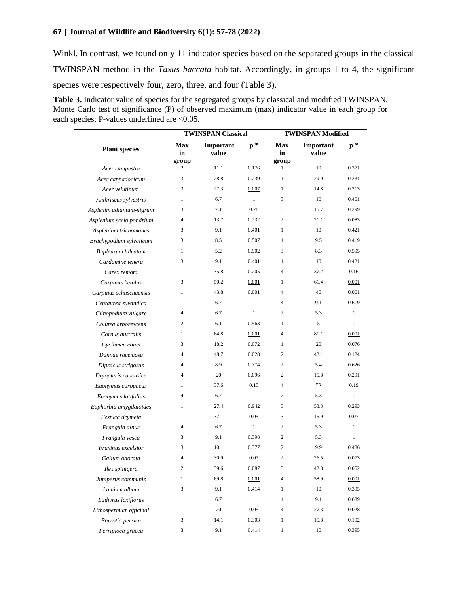Winkl. In contrast, we found only 11 indicator species based on the separated groups in the classical TWINSPAN method in the *Taxus baccata* habitat. Accordingly, in groups 1 to 4, the significant species were respectively four, zero, three, and four (Table 3).

**Table 3.** Indicator value of species for the segregated groups by classical and modified TWINSPAN. Monte Carlo test of significance (P) of observed maximum (max) indicator value in each group for each species; P-values underlined are <0.05.

|                          |                           | <b>TWINSPAN Classical</b> | <b>TWINSPAN Modified</b> |                           |                    |                |
|--------------------------|---------------------------|---------------------------|--------------------------|---------------------------|--------------------|----------------|
| <b>Plant species</b>     | <b>Max</b><br>in<br>group | Important<br>value        | $p *$                    | <b>Max</b><br>in<br>group | Important<br>value | $\mathbf{p}^*$ |
| Acer campestre           | 2                         | 11.1                      | 0.176                    | 1                         | 10                 | 0.371          |
| Acer cappadocicum        | 3                         | 28.8                      | 0.239                    | $\mathbf{1}$              | 29.9               | 0.234          |
| Acer velutinum           | 3                         | 27.3                      | 0.007                    | $\mathbf{1}$              | 14.8               | 0.213          |
| Anthriscus sylvestris    | 1                         | 6.7                       | $\mathbf{1}$             | 3                         | 10                 | 0.401          |
| Asplenim adiantum-nigrum | 3                         | 7.1                       | 0.78                     | 3                         | 15.7               | 0.299          |
| Asplenium scelo pondrium | $\overline{4}$            | 13.7                      | 0.232                    | $\overline{c}$            | 21.1               | 0.083          |
| Asplenium trichomanes    | 3                         | 9.1                       | 0.401                    | 1                         | 10                 | 0.421          |
| Brachypodium sylvaticum  | 3                         | 8.5                       | 0.507                    | $\mathbf{1}$              | 9.5                | 0.419          |
| Bupleurum falcatum       | 1                         | 5.2                       | 0.902                    | 3                         | 8.3                | 0.595          |
| Cardamine tenera         | 3                         | 9.1                       | 0.401                    | $\mathbf{1}$              | 10                 | 0.421          |
| Carex remota             | $\mathbf{1}$              | 35.8                      | 0.205                    | $\overline{4}$            | 37.2               | 0.16           |
| Carpinus betulus         | 3                         | 50.2                      | 0.001                    | 1                         | 61.4               | 0.001          |
| Carpinus schuschaensis   | 1                         | 43.8                      | 0.001                    | $\overline{4}$            | 40                 | 0.001          |
| Centaurea zuvandica      | 1                         | 6.7                       | $\mathbf{1}$             | $\overline{4}$            | 9.1                | 0.619          |
| Clinopodium vulgare      | $\overline{4}$            | 6.7                       | $\mathbf{1}$             | 2                         | 5.3                | $\mathbf{1}$   |
| Colutea arborescens      | 2                         | 6.1                       | 0.563                    | $\mathbf{1}$              | 5                  | $\mathbf{1}$   |
| Cornus australis         | 1                         | 64.8                      | 0.001                    | $\overline{4}$            | 81.1               | 0.001          |
| Cyclamen coum            | 3                         | 18.2                      | 0.072                    | $\mathbf{1}$              | 20                 | 0.076          |
| Dannae racemosa          | $\overline{4}$            | 48.7                      | 0.028                    | $\overline{c}$            | 42.1               | 0.124          |
| Dipsacus strigosus       | $\overline{4}$            | 8.9                       | 0.374                    | 2                         | 5.4                | 0.626          |
| Dryopteris caucasica     | $\overline{4}$            | 20                        | 0.096                    | $\overline{c}$            | 15.8               | 0.291          |
| Euonymus europaeus       | 1                         | 37.6                      | 0.15                     | $\overline{4}$            | ٣٦                 | 0.19           |
| Euonymus latifolius      | $\overline{4}$            | 6.7                       | $\mathbf{1}$             | $\overline{c}$            | 5.3                | $\mathbf{1}$   |
| Euphorbia amygdaloides   | 1                         | 27.4                      | 0.942                    | 3                         | 53.3               | 0.293          |
| Festuca drymeja          | $\mathbf{1}$              | 37.1                      | 0.05                     | 3                         | 15.9               | 0.07           |
| Frangula alnus           | $\overline{4}$            | 6.7                       | $\mathbf{1}$             | $\overline{c}$            | 5.3                | $\mathbf{1}$   |
| Frangula vesca           | 3                         | 9.1                       | 0.398                    | 2                         | 5.3                | $\mathbf{1}$   |
| Fraxinus excelsior       | 3                         | 10.1                      | 0.377                    | $\overline{c}$            | 9.9                | 0.486          |
| Galium odorata           | $\overline{4}$            | 30.9                      | 0.07                     | $\overline{c}$            | 26.5               | 0.073          |
| Ilex spinigera           | 2                         | 39.6                      | 0.087                    | 3                         | 42.8               | 0.052          |
| Juniperus communis       | $\mathbf{1}$              | 69.8                      | 0.001                    | $\overline{\mathcal{L}}$  | 58.9               | 0.001          |
| Lamium album             | 3                         | 9.1                       | 0.414                    | 1                         | 10                 | 0.395          |
| Lathyrus laxiflorus      | 1                         | 6.7                       | $\,1$                    | $\overline{4}$            | 9.1                | 0.639          |
| Lithospermum officinal   | $\mathbf{1}$              | 20                        | 0.05                     | $\overline{4}$            | 27.3               | 0.028          |
| Parrotia persica         | 3                         | 14.1                      | 0.303                    | $\mathbf{1}$              | 15.8               | 0.192          |
| Perriploca gracea        | 3                         | 9.1                       | 0.414                    | $\mathbf{1}$              | 10                 | 0.395          |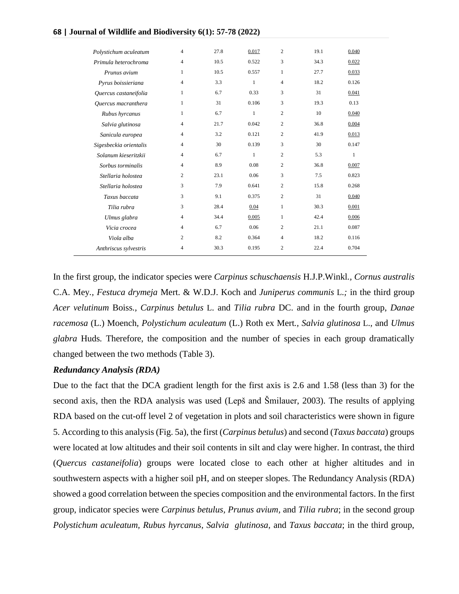| Polystichum aculeatum  | 4            | 27.8 | 0.017        | $\overline{c}$ | 19.1 | 0.040 |
|------------------------|--------------|------|--------------|----------------|------|-------|
| Primula heterochroma   | 4            | 10.5 | 0.522        | 3              | 34.3 | 0.022 |
| Prunus avium           | 1            | 10.5 | 0.557        | 1              | 27.7 | 0.033 |
| Pyrus boissieriana     | 4            | 3.3  | $\mathbf{1}$ | 4              | 18.2 | 0.126 |
| Quercus castaneifolia  | 1            | 6.7  | 0.33         | 3              | 31   | 0.041 |
| Quercus macranthera    | $\mathbf{1}$ | 31   | 0.106        | 3              | 19.3 | 0.13  |
| Rubus hyrcanus         | 1            | 6.7  | $\mathbf{1}$ | $\overline{c}$ | 10   | 0.040 |
| Salvia glutinosa       | 4            | 21.7 | 0.042        | $\overline{c}$ | 36.8 | 0.004 |
| Sanicula europea       | 4            | 3.2  | 0.121        | $\overline{c}$ | 41.9 | 0.013 |
| Sigesbeckia orientalis | 4            | 30   | 0.139        | 3              | 30   | 0.147 |
| Solanum kieseritzkii   | 4            | 6.7  | $\mathbf{1}$ | $\overline{c}$ | 5.3  | 1     |
| Sorbus torminalis      | 4            | 8.9  | 0.08         | $\overline{c}$ | 36.8 | 0.007 |
| Stellaria holostea     | 2            | 23.1 | 0.06         | 3              | 7.5  | 0.823 |
| Stellaria holostea     | 3            | 7.9  | 0.641        | $\overline{c}$ | 15.8 | 0.268 |
| Taxus baccata          | 3            | 9.1  | 0.375        | $\overline{c}$ | 31   | 0.040 |
| Tilia rubra            | 3            | 28.4 | 0.04         | 1              | 30.3 | 0.001 |
| Ulmus glabra           | 4            | 34.4 | 0.005        | 1              | 42.4 | 0.006 |
| Vicia crocea           | 4            | 6.7  | 0.06         | $\overline{c}$ | 21.1 | 0.087 |
| Viola alba             | 2            | 8.2  | 0.364        | $\overline{4}$ | 18.2 | 0.116 |
| Anthriscus sylvestris  | 4            | 30.3 | 0.195        | $\overline{c}$ | 22.4 | 0.704 |
|                        |              |      |              |                |      |       |

In the first group, the indicator species were *Carpinus schuschaensis* H.J.P.Winkl*., Cornus australis*  C.A. Mey*., Festuca drymeja* Mert. & W.D.J. Koch and *Juniperus communis* L.*;* in the third group *Acer velutinum* Boiss*., Carpinus betulus* L. and *Tilia rubra* DC. and in the fourth group, *Danae racemosa* (L.) Moench*, Polystichum aculeatum* (L.) Roth ex Mert*., Salvia glutinosa* L.*,* and *Ulmus glabra* Huds*.* Therefore, the composition and the number of species in each group dramatically changed between the two methods (Table 3).

#### *Redundancy Analysis (RDA)*

Due to the fact that the DCA gradient length for the first axis is 2.6 and 1.58 (less than 3) for the second axis, then the RDA analysis was used (Lepš and Šmilauer, 2003). The results of applying RDA based on the cut-off level 2 of vegetation in plots and soil characteristics were shown in figure 5. According to this analysis (Fig. 5a), the first (*Carpinus betulus*) and second (*Taxus baccata*) groups were located at low altitudes and their soil contents in silt and clay were higher. In contrast, the third (*Quercus castaneifolia*) groups were located close to each other at higher altitudes and in southwestern aspects with a higher soil pH, and on steeper slopes. The Redundancy Analysis (RDA) showed a good correlation between the species composition and the environmental factors. In the first group, indicator species were *Carpinus betulus, Prunus avium,* and *Tilia rubra*; in the second group *Polystichum aculeatum, Rubus hyrcanus, Salvia glutinosa,* and *Taxus baccata*; in the third group,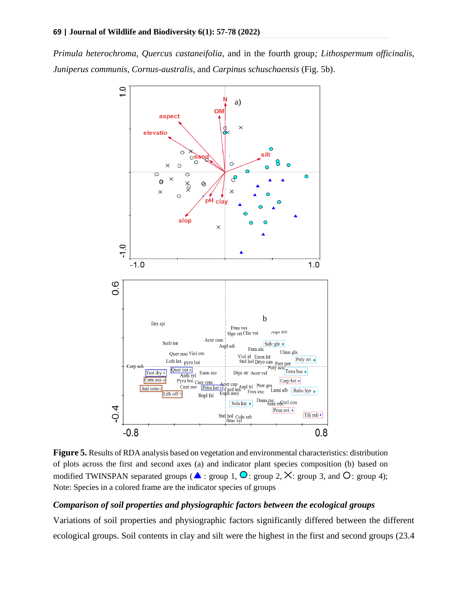*Primula heterochroma, Quercus castaneifolia,* and in the fourth group*; Lithospermum officinalis, Juniperus communis, Cornus-australis,* and *Carpinus schuschaensis* (Fig. 5b).



**Figure 5.** Results of RDA analysis based on vegetation and environmental characteristics: distribution of plots across the first and second axes (a) and indicator plant species composition (b) based on modified TWINSPAN separated groups ( $\blacktriangle$ : group 1,  $\blacktriangle$ : group 2,  $\times$ : group 3, and  $\triangle$ : group 4); Note: Species in a colored frame are the indicator species of groups

### *Comparison of soil properties and physiographic factors between the ecological groups*

Variations of soil properties and physiographic factors significantly differed between the different ecological groups. Soil contents in clay and silt were the highest in the first and second groups (23.4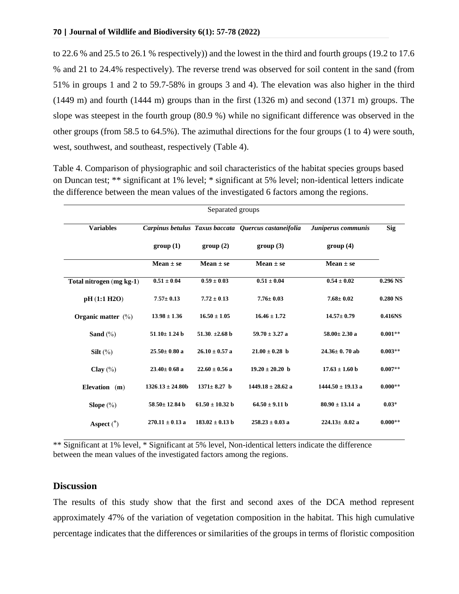to 22.6 % and 25.5 to 26.1 % respectively)) and the lowest in the third and fourth groups (19.2 to 17.6 % and 21 to 24.4% respectively). The reverse trend was observed for soil content in the sand (from 51% in groups 1 and 2 to 59.7-58% in groups 3 and 4). The elevation was also higher in the third (1449 m) and fourth (1444 m) groups than in the first (1326 m) and second (1371 m) groups. The slope was steepest in the fourth group (80.9 %) while no significant difference was observed in the other groups (from 58.5 to 64.5%). The azimuthal directions for the four groups (1 to 4) were south, west, southwest, and southeast, respectively (Table 4).

Table 4. Comparison of physiographic and soil characteristics of the habitat species groups based on Duncan test; \*\* significant at 1% level; \* significant at 5% level; non-identical letters indicate the difference between the mean values of the investigated 6 factors among the regions.

| Separated groups         |                      |                     |                                                      |                       |            |  |  |
|--------------------------|----------------------|---------------------|------------------------------------------------------|-----------------------|------------|--|--|
| <b>Variables</b>         |                      |                     | Carpinus betulus Taxus baccata Ouercus castaneifolia | Juniperus communis    | <b>Sig</b> |  |  |
|                          | group(1)             | group(2)            | group(3)                                             | group(4)              |            |  |  |
|                          | Mean $\pm$ se        | Mean $\pm$ se       | Mean $\pm$ se                                        | Mean $\pm$ se         |            |  |  |
| Total nitrogen (mg kg-1) | $0.51 \pm 0.04$      | $0.59 \pm 0.03$     | $0.51 \pm 0.04$                                      | $0.54 \pm 0.02$       | $0.296$ NS |  |  |
| pH (1:1 H2O)             | $7.57 \pm 0.13$      | $7.72 \pm 0.13$     | $7.76 \pm 0.03$                                      | $7.68 \pm 0.02$       | $0.280$ NS |  |  |
| Organic matter $(\%)$    | $13.98 \pm 1.36$     | $16.50 \pm 1.05$    | $16.46 \pm 1.72$                                     | $14.57 \pm 0.79$      | 0.416NS    |  |  |
| Sand $(\% )$             | $51.10 \pm 1.24$ b   | 51.30. $\pm 2.68$ b | $59.70 \pm 3.27$ a                                   | $58.00 \pm 2.30$ a    | $0.001**$  |  |  |
| Silt $(\%)$              | $25.50 \pm 0.80$ a   | $26.10 \pm 0.57$ a  | $21.00 \pm 0.28$ h                                   | $24.36 \pm 0.70$ ab   | $0.003**$  |  |  |
| Clay $(\%)$              | $23.40 \pm 0.68$ a   | $22.60 \pm 0.56$ a  | $19.20 \pm 20.20$ b                                  | $17.63 \pm 1.60$ b    | $0.007**$  |  |  |
| Elevation (m)            | $1326.13 \pm 24.80b$ | $1371 \pm 8.27$ b   | $1449.18 \pm 28.62$ a                                | $1444.50 \pm 19.13$ a | $0.000**$  |  |  |
| Slope $(\%)$             | $58.50 \pm 12.84$ b  | $61.50 \pm 10.32$ b | $64.50 \pm 9.11$ b                                   | $80.90 \pm 13.14$ a   | $0.03*$    |  |  |
| Aspect $(°)$             | $270.11 \pm 0.13$ a  | $183.02 \pm 0.13$ b | $258.23 \pm 0.03$ a                                  | $224.13 \pm .0.02$ a  | $0.000**$  |  |  |

\*\* Significant at 1% level, \* Significant at 5% level, Non-identical letters indicate the difference between the mean values of the investigated factors among the regions.

## **Discussion**

The results of this study show that the first and second axes of the DCA method represent approximately 47% of the variation of vegetation composition in the habitat. This high cumulative percentage indicates that the differences or similarities of the groups in terms of floristic composition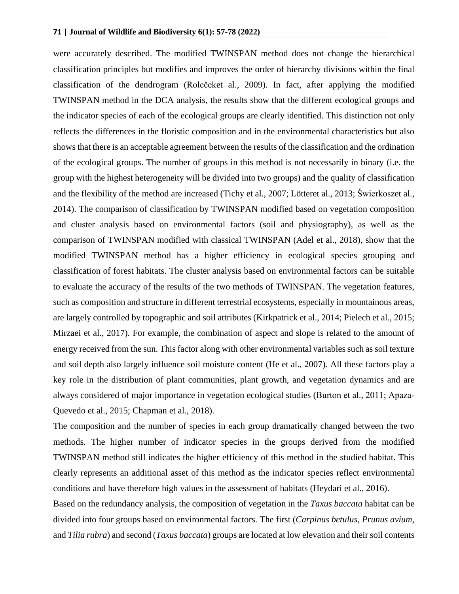were accurately described. The modified TWINSPAN method does not change the hierarchical classification principles but modifies and improves the order of hierarchy divisions within the final classification of the dendrogram (Rolečeket al., 2009). In fact, after applying the modified TWINSPAN method in the DCA analysis, the results show that the different ecological groups and the indicator species of each of the ecological groups are clearly identified. This distinction not only reflects the differences in the floristic composition and in the environmental characteristics but also shows that there is an acceptable agreement between the results of the classification and the ordination of the ecological groups. The number of groups in this method is not necessarily in binary (i.e. the group with the highest heterogeneity will be divided into two groups) and the quality of classification and the flexibility of the method are increased (Tichy et al., 2007; Lötteret al., 2013; Świerkoszet al., 2014). The comparison of classification by TWINSPAN modified based on vegetation composition and cluster analysis based on environmental factors (soil and physiography), as well as the comparison of TWINSPAN modified with classical TWINSPAN (Adel et al., 2018), show that the modified TWINSPAN method has a higher efficiency in ecological species grouping and classification of forest habitats. The cluster analysis based on environmental factors can be suitable to evaluate the accuracy of the results of the two methods of TWINSPAN. The vegetation features, such as composition and structure in different terrestrial ecosystems, especially in mountainous areas, are largely controlled by topographic and soil attributes (Kirkpatrick et al., 2014; Pielech et al., 2015; Mirzaei et al., 2017). For example, the combination of aspect and slope is related to the amount of energy received from the sun. This factor along with other environmental variables such as soil texture and soil depth also largely influence soil moisture content (He et al., 2007). All these factors play a key role in the distribution of plant communities, plant growth, and vegetation dynamics and are always considered of major importance in vegetation ecological studies (Burton et al., 2011; Apaza‐ Quevedo et al., 2015; Chapman et al., 2018).

The composition and the number of species in each group dramatically changed between the two methods. The higher number of indicator species in the groups derived from the modified TWINSPAN method still indicates the higher efficiency of this method in the studied habitat. This clearly represents an additional asset of this method as the indicator species reflect environmental conditions and have therefore high values in the assessment of habitats (Heydari et al., 2016).

Based on the redundancy analysis, the composition of vegetation in the *Taxus baccata* habitat can be divided into four groups based on environmental factors. The first (*Carpinus betulus, Prunus avium*, and *Tilia rubra*) and second (*Taxus baccata*) groups are located at low elevation and their soil contents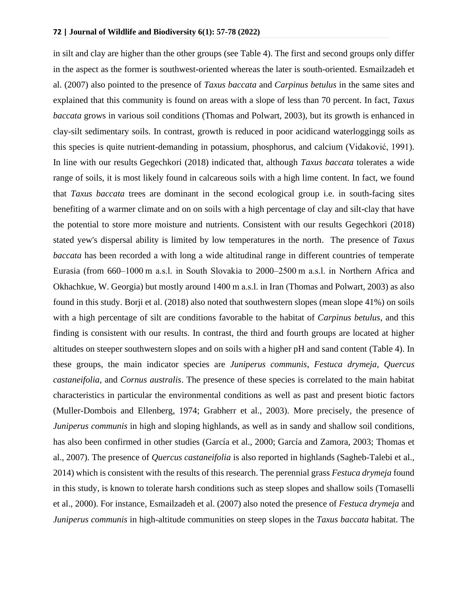in silt and clay are higher than the other groups (see Table 4). The first and second groups only differ in the aspect as the former is southwest-oriented whereas the later is south-oriented. Esmailzadeh et al. (2007) also pointed to the presence of *Taxus baccata* and *Carpinus betulus* in the same sites and explained that this community is found on areas with a slope of less than 70 percent. In fact, *Taxus baccata* grows in various soil conditions (Thomas and Polwart, 2003), but its growth is enhanced in clay-silt sedimentary soils. In contrast, growth is reduced in poor acidicand waterloggingg soils as this species is quite nutrient-demanding in potassium, phosphorus, and calcium (Vidaković, 1991). In line with our results [Gegechkori](https://www.sciencedirect.com/science/article/pii/S1512188718300836#!) (2018) indicated that, although *Taxus baccata* tolerates a wide range of soils, it is most likely found in [calcareous](https://www.sciencedirect.com/topics/agricultural-and-biological-sciences/calcareous-soils) soils with a high [lime](https://www.sciencedirect.com/topics/agricultural-and-biological-sciences/limes) content. In fact, we found that *Taxus baccata* trees are dominant in the second ecological group i.e. in south-facing sites benefiting of a warmer climate and on on soils with a high percentage of clay and silt-clay that have the potential to store more moisture and nutrients. Consistent with our results [Gegechkori](https://www.sciencedirect.com/science/article/pii/S1512188718300836#!) (2018) stated yew's [dispersal](https://www.sciencedirect.com/topics/earth-and-planetary-sciences/dispersal) ability is limited by low temperatures in the north. The presence of *Taxus baccata* has been recorded a with long a wide altitudinal range in different countries of temperate Eurasia (from 660–1000 m a.s.l. in South Slovakia to 2000–2500 m a.s.l. in Northern Africa and Okhachkue, W. Georgia) but mostly around 1400 m a.s.l. in Iran (Thomas and Polwart, 2003) as also found in this study. Borji et al. (2018) also noted that southwestern slopes (mean slope 41%) on soils with a high percentage of silt are conditions favorable to the habitat of *Carpinus betulus*, and this finding is consistent with our results. In contrast, the third and fourth groups are located at higher altitudes on steeper southwestern slopes and on soils with a higher pH and sand content (Table 4). In these groups, the main indicator species are *Juniperus communis*, *Festuca drymeja*, *Quercus castaneifolia*, and *Cornus australis*. The presence of these species is correlated to the main habitat characteristics in particular the environmental conditions as well as past and present biotic factors (Muller-Dombois and Ellenberg, 1974; Grabherr et al., 2003). More precisely, the presence of *Juniperus communis* in high and sloping highlands, as well as in sandy and shallow soil conditions, has also been confirmed in other studies (García et al., 2000; García and Zamora, 2003; Thomas et al., 2007). The presence of *Quercus castaneifolia* is also reported in highlands (Sagheb-Talebi et al., 2014) which is consistent with the results of this research. The perennial grass *Festuca drymeja* found in this study, is known to tolerate harsh conditions such as steep slopes and shallow soils (Tomaselli et al., 2000). For instance, Esmailzadeh et al. (2007) also noted the presence of *Festuca drymeja* and *Juniperus communis* in high-altitude communities on steep slopes in the *Taxus baccata* habitat. The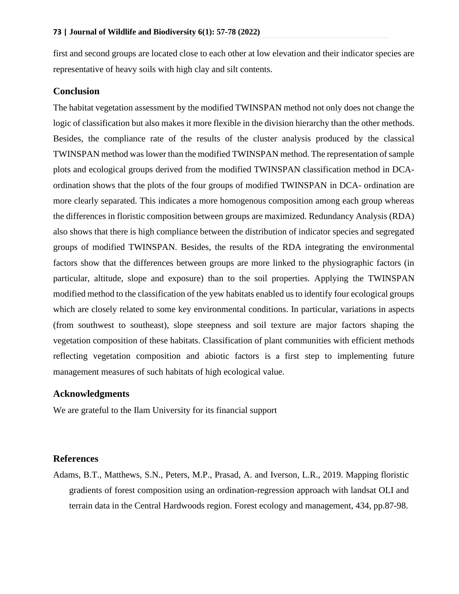first and second groups are located close to each other at low elevation and their indicator species are representative of heavy soils with high clay and silt contents.

#### **Conclusion**

The habitat vegetation assessment by the modified TWINSPAN method not only does not change the logic of classification but also makes it more flexible in the division hierarchy than the other methods. Besides, the compliance rate of the results of the cluster analysis produced by the classical TWINSPAN method was lower than the modified TWINSPAN method. The representation of sample plots and ecological groups derived from the modified TWINSPAN classification method in DCAordination shows that the plots of the four groups of modified TWINSPAN in DCA- ordination are more clearly separated. This indicates a more homogenous composition among each group whereas the differences in floristic composition between groups are maximized. Redundancy Analysis (RDA) also shows that there is high compliance between the distribution of indicator species and segregated groups of modified TWINSPAN. Besides, the results of the RDA integrating the environmental factors show that the differences between groups are more linked to the physiographic factors (in particular, altitude, slope and exposure) than to the soil properties. Applying the TWINSPAN modified method to the classification of the yew habitats enabled us to identify four ecological groups which are closely related to some key environmental conditions. In particular, variations in aspects (from southwest to southeast), slope steepness and soil texture are major factors shaping the vegetation composition of these habitats. Classification of plant communities with efficient methods reflecting vegetation composition and abiotic factors is a first step to implementing future management measures of such habitats of high ecological value.

### **Acknowledgments**

We are grateful to the Ilam University for its financial support

#### **References**

Adams, B.T., Matthews, S.N., Peters, M.P., Prasad, A. and Iverson, L.R., 2019. Mapping floristic gradients of forest composition using an ordination-regression approach with landsat OLI and terrain data in the Central Hardwoods region. Forest ecology and management, 434, pp.87-98.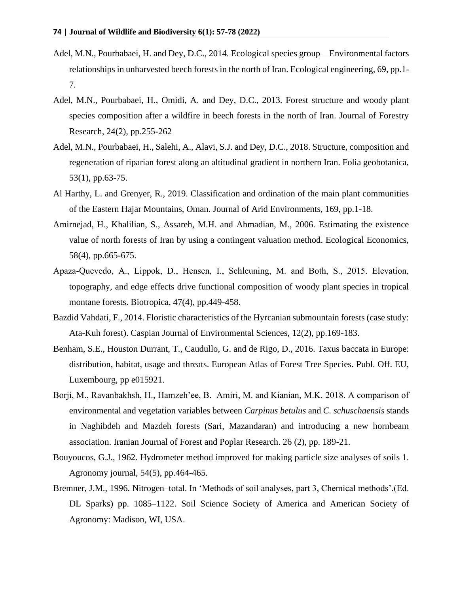- Adel, M.N., Pourbabaei, H. and Dey, D.C., 2014. Ecological species group—Environmental factors relationships in unharvested beech forests in the north of Iran. Ecological engineering, 69, pp.1- 7.
- Adel, M.N., Pourbabaei, H., Omidi, A. and Dey, D.C., 2013. Forest structure and woody plant species composition after a wildfire in beech forests in the north of Iran. Journal of Forestry Research, 24(2), pp.255-262
- Adel, M.N., Pourbabaei, H., Salehi, A., Alavi, S.J. and Dey, D.C., 2018. Structure, composition and regeneration of riparian forest along an altitudinal gradient in northern Iran. Folia geobotanica, 53(1), pp.63-75.
- Al Harthy, L. and Grenyer, R., 2019. Classification and ordination of the main plant communities of the Eastern Hajar Mountains, Oman. Journal of Arid Environments, 169, pp.1-18.
- Amirnejad, H., Khalilian, S., Assareh, M.H. and Ahmadian, M., 2006. Estimating the existence value of north forests of Iran by using a contingent valuation method. Ecological Economics, 58(4), pp.665-675.
- Apaza‐Quevedo, A., Lippok, D., Hensen, I., Schleuning, M. and Both, S., 2015. Elevation, topography, and edge effects drive functional composition of woody plant species in tropical montane forests. Biotropica, 47(4), pp.449-458.
- Bazdid Vahdati, F., 2014. Floristic characteristics of the Hyrcanian submountain forests (case study: Ata-Kuh forest). Caspian Journal of Environmental Sciences, 12(2), pp.169-183.
- Benham, S.E., Houston Durrant, T., Caudullo, G. and de Rigo, D., 2016. Taxus baccata in Europe: distribution, habitat, usage and threats. European Atlas of Forest Tree Species. Publ. Off. EU, Luxembourg, pp e015921.
- Borji, M., Ravanbakhsh, H., Hamzeh'ee, B. Amiri, M. and Kianian, M.K. 2018. A comparison of environmental and vegetation variables between *Carpinus betulus* and *C. schuschaensis* stands in Naghibdeh and Mazdeh forests (Sari, Mazandaran) and introducing a new hornbeam association. Iranian Journal of Forest and Poplar Research. 26 (2), pp. 189-21.
- Bouyoucos, G.J., 1962. Hydrometer method improved for making particle size analyses of soils 1. Agronomy journal, 54(5), pp.464-465.
- Bremner, J.M., 1996. Nitrogen–total. In 'Methods of soil analyses, part 3, Chemical methods'.(Ed. DL Sparks) pp. 1085–1122. Soil Science Society of America and American Society of Agronomy: Madison, WI, USA.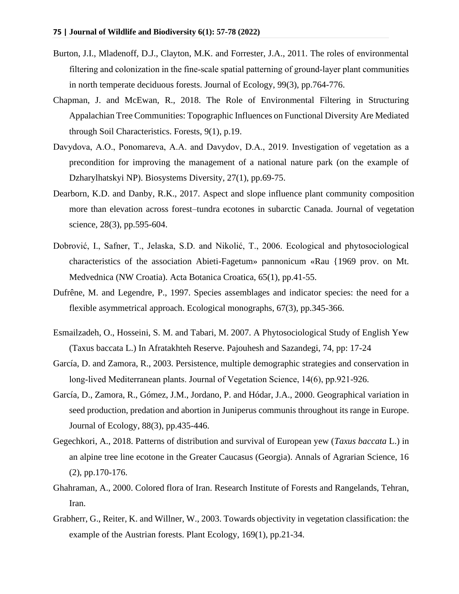- Burton, J.I., Mladenoff, D.J., Clayton, M.K. and Forrester, J.A., 2011. The roles of environmental filtering and colonization in the fine‐scale spatial patterning of ground‐layer plant communities in north temperate deciduous forests. Journal of Ecology, 99(3), pp.764-776.
- Chapman, J. and McEwan, R., 2018. The Role of Environmental Filtering in Structuring Appalachian Tree Communities: Topographic Influences on Functional Diversity Are Mediated through Soil Characteristics. Forests, 9(1), p.19.
- Davydova, A.O., Ponomarеva, A.A. and Davydov, D.A., 2019. Investigation of vegetation as a precondition for improving the management of a national nature park (on the example of Dzharylhatskyi NP). Biosystems Diversity, 27(1), pp.69-75.
- Dearborn, K.D. and Danby, R.K., 2017. Aspect and slope influence plant community composition more than elevation across forest–tundra ecotones in subarctic Canada. Journal of vegetation science, 28(3), pp.595-604.
- Dobrović, I., Safner, T., Jelaska, S.D. and Nikolić, T., 2006. Ecological and phytosociological characteristics of the association Abieti-Fagetum» pannonicum «Rau {1969 prov. on Mt. Medvednica (NW Croatia). Acta Botanica Croatica, 65(1), pp.41-55.
- Dufrêne, M. and Legendre, P., 1997. Species assemblages and indicator species: the need for a flexible asymmetrical approach. Ecological monographs, 67(3), pp.345-366.
- Esmailzadeh, O., Hosseini, S. M. and Tabari, M. 2007. A Phytosociological Study of English Yew (Taxus baccata L.) In Afratakhteh Reserve. Pajouhesh and Sazandegi, 74, pp: 17-24
- García, D. and Zamora, R., 2003. Persistence, multiple demographic strategies and conservation in long‐lived Mediterranean plants. Journal of Vegetation Science, 14(6), pp.921-926.
- García, D., Zamora, R., Gómez, J.M., Jordano, P. and Hódar, J.A., 2000. Geographical variation in seed production, predation and abortion in Juniperus communis throughout its range in Europe. Journal of Ecology, 88(3), pp.435-446.
- Gegechkori, A., 2018. Patterns of distribution and survival of European yew (*Taxus baccata* L.) in an alpine tree line ecotone in the Greater Caucasus (Georgia). Annals of Agrarian Science, 16 (2), pp.170-176.
- Ghahraman, A., 2000. Colored flora of Iran. Research Institute of Forests and Rangelands, Tehran, Iran.
- Grabherr, G., Reiter, K. and Willner, W., 2003. Towards objectivity in vegetation classification: the example of the Austrian forests. Plant Ecology, 169(1), pp.21-34.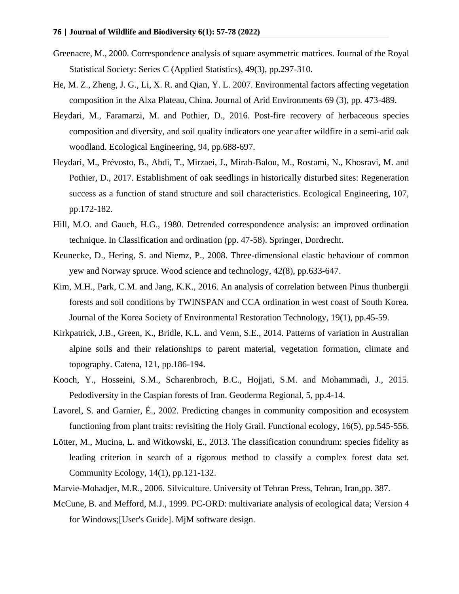- Greenacre, M., 2000. Correspondence analysis of square asymmetric matrices. Journal of the Royal Statistical Society: Series C (Applied Statistics), 49(3), pp.297-310.
- He, M. Z., Zheng, J. G., Li, X. R. and Qian, Y. L. 2007. Environmental factors affecting vegetation composition in the Alxa Plateau, China. Journal of Arid Environments 69 (3), pp. 473-489.
- Heydari, M., Faramarzi, M. and Pothier, D., 2016. Post-fire recovery of herbaceous species composition and diversity, and soil quality indicators one year after wildfire in a semi-arid oak woodland. Ecological Engineering, 94, pp.688-697.
- Heydari, M., Prévosto, B., Abdi, T., Mirzaei, J., Mirab-Balou, M., Rostami, N., Khosravi, M. and Pothier, D., 2017. Establishment of oak seedlings in historically disturbed sites: Regeneration success as a function of stand structure and soil characteristics. Ecological Engineering, 107, pp.172-182.
- Hill, M.O. and Gauch, H.G., 1980. Detrended correspondence analysis: an improved ordination technique. In Classification and ordination (pp. 47-58). Springer, Dordrecht.
- Keunecke, D., Hering, S. and Niemz, P., 2008. Three-dimensional elastic behaviour of common yew and Norway spruce. Wood science and technology, 42(8), pp.633-647.
- Kim, M.H., Park, C.M. and Jang, K.K., 2016. An analysis of correlation between Pinus thunbergii forests and soil conditions by TWINSPAN and CCA ordination in west coast of South Korea. Journal of the Korea Society of Environmental Restoration Technology, 19(1), pp.45-59.
- Kirkpatrick, J.B., Green, K., Bridle, K.L. and Venn, S.E., 2014. Patterns of variation in Australian alpine soils and their relationships to parent material, vegetation formation, climate and topography. Catena, 121, pp.186-194.
- Kooch, Y., Hosseini, S.M., Scharenbroch, B.C., Hojjati, S.M. and Mohammadi, J., 2015. Pedodiversity in the Caspian forests of Iran. Geoderma Regional, 5, pp.4-14.
- Lavorel, S. and Garnier, É., 2002. Predicting changes in community composition and ecosystem functioning from plant traits: revisiting the Holy Grail. Functional ecology, 16(5), pp.545-556.
- Lötter, M., Mucina, L. and Witkowski, E., 2013. The classification conundrum: species fidelity as leading criterion in search of a rigorous method to classify a complex forest data set. Community Ecology, 14(1), pp.121-132.
- Marvie-Mohadjer, M.R., 2006. Silviculture. University of Tehran Press, Tehran, Iran,pp. 387.
- McCune, B. and Mefford, M.J., 1999. PC-ORD: multivariate analysis of ecological data; Version 4 for Windows;[User's Guide]. MjM software design.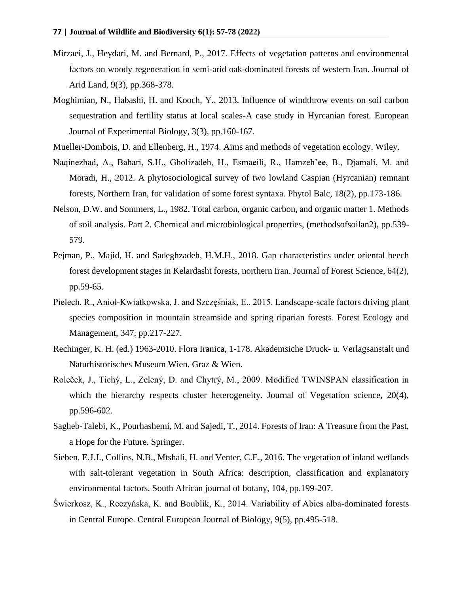- Mirzaei, J., Heydari, M. and Bernard, P., 2017. Effects of vegetation patterns and environmental factors on woody regeneration in semi-arid oak-dominated forests of western Iran. Journal of Arid Land, 9(3), pp.368-378.
- Moghimian, N., Habashi, H. and Kooch, Y., 2013. Influence of windthrow events on soil carbon sequestration and fertility status at local scales-A case study in Hyrcanian forest. European Journal of Experimental Biology, 3(3), pp.160-167.
- Mueller-Dombois, D. and Ellenberg, H., 1974. Aims and methods of vegetation ecology. Wiley.
- Naqinezhad, A., Bahari, S.H., Gholizadeh, H., Esmaeili, R., Hamzeh'ee, B., Djamali, M. and Moradi, H., 2012. A phytosociological survey of two lowland Caspian (Hyrcanian) remnant forests, Northern Iran, for validation of some forest syntaxa. Phytol Balc, 18(2), pp.173-186.
- Nelson, D.W. and Sommers, L., 1982. Total carbon, organic carbon, and organic matter 1. Methods of soil analysis. Part 2. Chemical and microbiological properties, (methodsofsoilan2), pp.539- 579.
- Pejman, P., Majid, H. and Sadeghzadeh, H.M.H., 2018. Gap characteristics under oriental beech forest development stages in Kelardasht forests, northern Iran. Journal of Forest Science, 64(2), pp.59-65.
- Pielech, R., Anioł-Kwiatkowska, J. and Szczęśniak, E., 2015. Landscape-scale factors driving plant species composition in mountain streamside and spring riparian forests. Forest Ecology and Management, 347, pp.217-227.
- Rechinger, K. H. (ed.) 1963-2010. Flora Iranica, 1-178. Akademsiche Druck- u. Verlagsanstalt und Naturhistorisches Museum Wien. Graz & Wien.
- Roleček, J., Tichý, L., Zelený, D. and Chytrý, M., 2009. Modified TWINSPAN classification in which the hierarchy respects cluster heterogeneity. Journal of Vegetation science, 20(4), pp.596-602.
- Sagheb-Talebi, K., Pourhashemi, M. and Sajedi, T., 2014. Forests of Iran: A Treasure from the Past, a Hope for the Future. Springer.
- Sieben, E.J.J., Collins, N.B., Mtshali, H. and Venter, C.E., 2016. The vegetation of inland wetlands with salt-tolerant vegetation in South Africa: description, classification and explanatory environmental factors. South African journal of botany, 104, pp.199-207.
- Świerkosz, K., Reczyńska, K. and Boublík, K., 2014. Variability of Abies alba-dominated forests in Central Europe. Central European Journal of Biology, 9(5), pp.495-518.